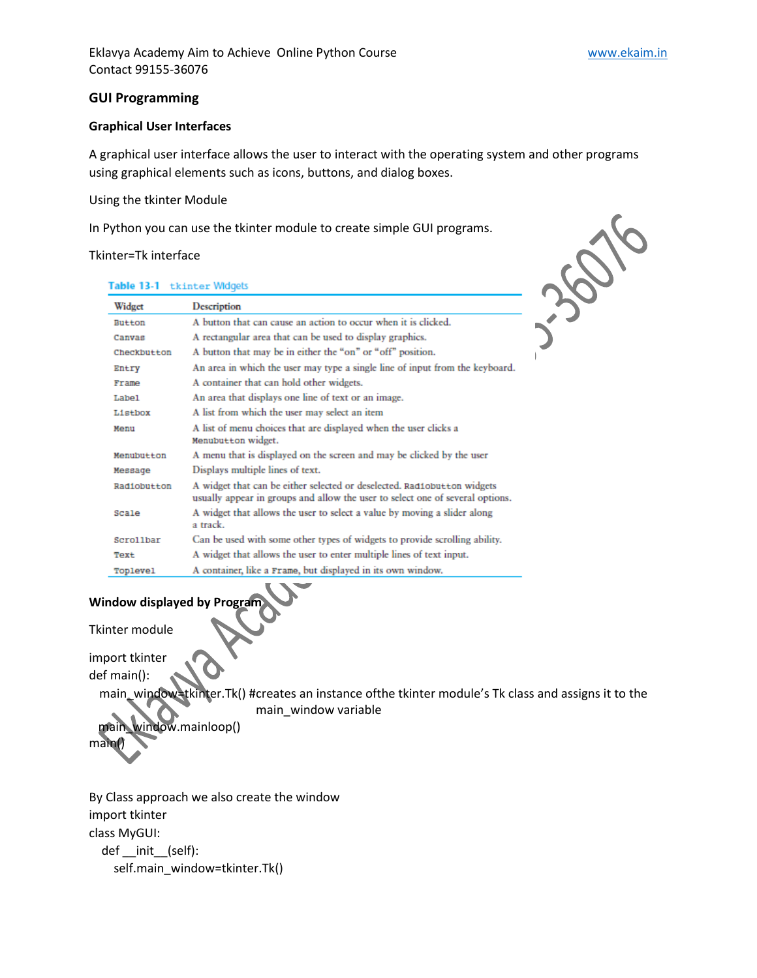#### **GUI Programming**

#### **Graphical User Interfaces**

A graphical user interface allows the user to interact with the operating system and other programs using graphical elements such as icons, buttons, and dialog boxes.

#### Using the tkinter Module

In Python you can use the tkinter module to create simple GUI programs.

#### Tkinter=Tk interface



| Table 13-1 tkinter Widgets |                                                                                                                                                          |
|----------------------------|----------------------------------------------------------------------------------------------------------------------------------------------------------|
| Widget                     | Description                                                                                                                                              |
| Button                     | A button that can cause an action to occur when it is clicked.                                                                                           |
| Canvas                     | A rectangular area that can be used to display graphics.                                                                                                 |
| Checkbutton                | A button that may be in either the "on" or "off" position.                                                                                               |
| Entry                      | An area in which the user may type a single line of input from the keyboard.                                                                             |
| Frame                      | A container that can hold other widgets.                                                                                                                 |
| Label                      | An area that displays one line of text or an image.                                                                                                      |
| Listbox                    | A list from which the user may select an item                                                                                                            |
| Menu                       | A list of menu choices that are displayed when the user clicks a<br>Menubutton widget.                                                                   |
| Menubutton                 | A menu that is displayed on the screen and may be clicked by the user                                                                                    |
| Мевваде                    | Displays multiple lines of text.                                                                                                                         |
| Radiobutton                | A widget that can be either selected or deselected. Radiobutton widgets<br>usually appear in groups and allow the user to select one of several options. |
| Scale                      | A widget that allows the user to select a value by moving a slider along<br>a track.                                                                     |
| Scrollbar                  | Can be used with some other types of widgets to provide scrolling ability.                                                                               |
| Text                       | A widget that allows the user to enter multiple lines of text input.                                                                                     |
| Toplevel                   | A container, like a Frame, but displayed in its own window.                                                                                              |

# **Window displayed by Program**

Tkinter module

import tkinter

def main():

main\_window=tkinter.Tk() #creates an instance ofthe tkinter module's Tk class and assigns it to the main\_window variable

 main\_window.mainloop() main()

By Class approach we also create the window import tkinter class MyGUI: def \_\_init\_\_(self): self.main\_window=tkinter.Tk()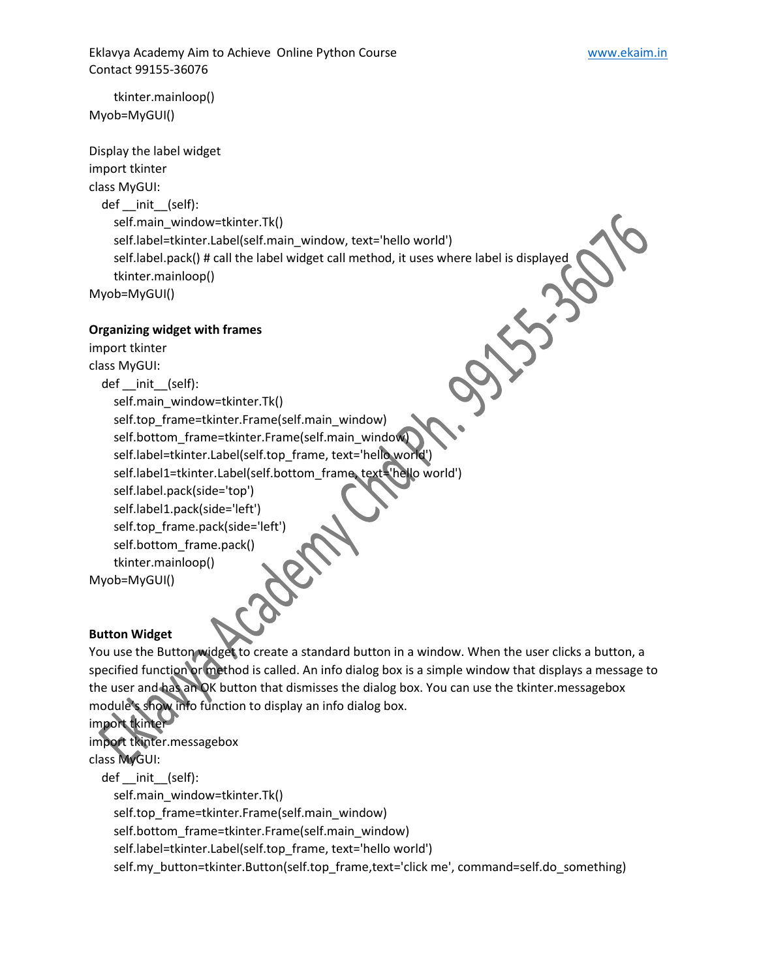Eklavya Academy Aim to Achieve Online Python Course **WALCON MACCON MACCON MACCON MACCON** WWW.ekaim.in Contact 99155-36076

 tkinter.mainloop() Myob=MyGUI()

Display the label widget import tkinter class MyGUI: def init (self): self.main\_window=tkinter.Tk() self.label=tkinter.Label(self.main\_window, text='hello world') self.label.pack() # call the label widget call method, it uses where label is displayed 535 tkinter.mainloop() Myob=MyGUI()

## **Organizing widget with frames**

import tkinter class MyGUI: def \_\_init\_\_(self): self.main\_window=tkinter.Tk() self.top\_frame=tkinter.Frame(self.main\_window) self.bottom\_frame=tkinter.Frame(self.main\_window) self.label=tkinter.Label(self.top\_frame, text='hello world') self.label1=tkinter.Label(self.bottom\_frame, text='hello world') self.label.pack(side='top') self.label1.pack(side='left') self.top\_frame.pack(side='left') self.bottom\_frame.pack() tkinter.mainloop() Myob=MyGUI()

# **Button Widget**

You use the Button widget to create a standard button in a window. When the user clicks a button, a specified function or method is called. An info dialog box is a simple window that displays a message to the user and has an OK button that dismisses the dialog box. You can use the tkinter.messagebox module's show info function to display an info dialog box.

import tkinter import tkinter.messagebox

class MyGUI:

 def \_\_init\_\_(self): self.main\_window=tkinter.Tk() self.top\_frame=tkinter.Frame(self.main\_window) self.bottom\_frame=tkinter.Frame(self.main\_window) self.label=tkinter.Label(self.top\_frame, text='hello world') self.my\_button=tkinter.Button(self.top\_frame,text='click me', command=self.do\_something)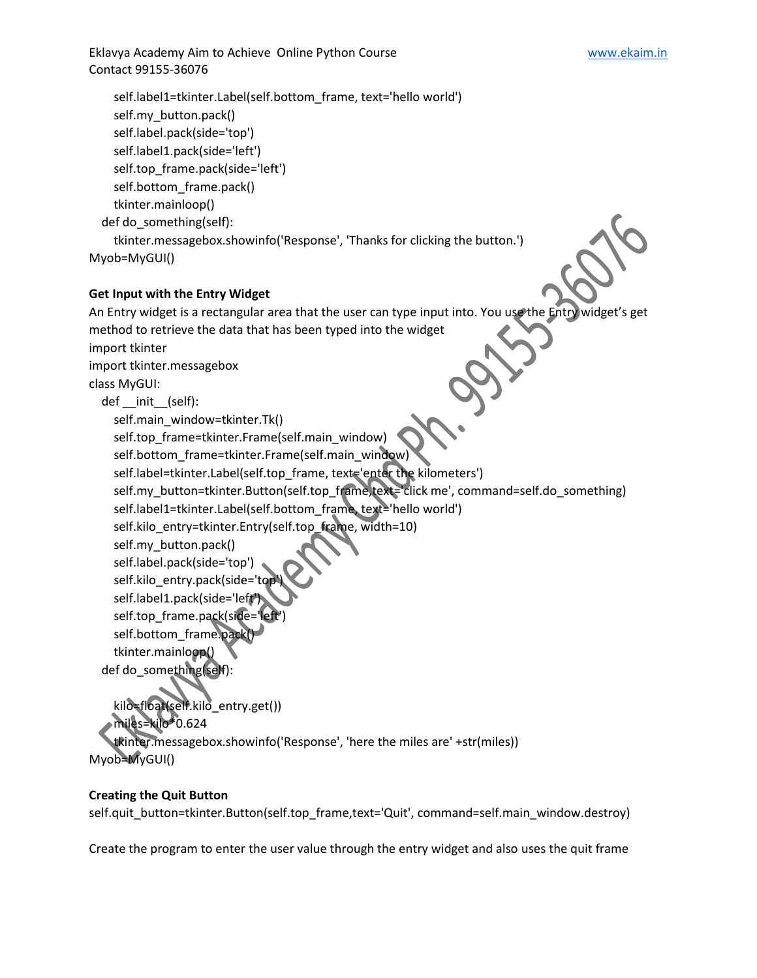Eklavya Academy Aim to Achieve Online Python Course **WALCON MACCON MACCON MACCON MACCON** WWW.ekaim.in Contact 99155-36076

```
 self.label1=tkinter.Label(self.bottom_frame, text='hello world')
     self.my_button.pack()
     self.label.pack(side='top')
     self.label1.pack(side='left')
     self.top_frame.pack(side='left')
    self.bottom frame.pack()
     tkinter.mainloop()
   def do_something(self):
     tkinter.messagebox.showinfo('Response', 'Thanks for clicking the button.')
Myob=MyGUI()
```
### **Get Input with the Entry Widget**

```
An Entry widget is a rectangular area that the user can type input into. You use the Entry widget's get
method to retrieve the data that has been typed into the widget
import tkinter
import tkinter.messagebox
class MyGUI:
  def init (self):
    self.main_window=tkinter.Tk()
     self.top_frame=tkinter.Frame(self.main_window)
     self.bottom_frame=tkinter.Frame(self.main_window)
     self.label=tkinter.Label(self.top_frame, text='enter the kilometers')
    self.my_button=tkinter.Button(self.top_frame,text='click me', command=self.do_something)
     self.label1=tkinter.Label(self.bottom_frame, text='hello world')
     self.kilo_entry=tkinter.Entry(self.top_frame, width=10)
    self.my_button.pack()
     self.label.pack(side='top')
    self.kilo entry.pack(side='top
    self.label1.pack(side='left
    self.top_frame.pack(side=
    self.bottom_frame.pack
     tkinter.mainloop()
   def do_something(self):
     kilo=float(self.kilo_entry.get())
     miles=kilo*0.624
     tkinter.messagebox.showinfo('Response', 'here the miles are' +str(miles))
Myob=MyGUI()
```
### **Creating the Quit Button**

self.quit\_button=tkinter.Button(self.top\_frame,text='Quit', command=self.main\_window.destroy)

Create the program to enter the user value through the entry widget and also uses the quit frame